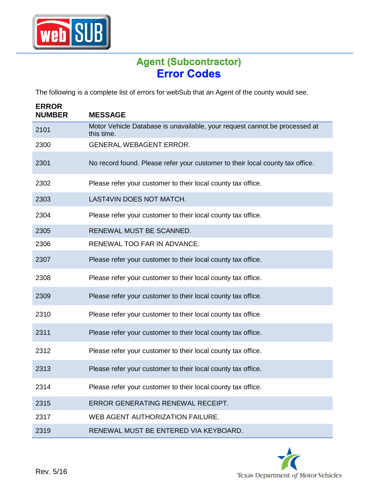

## **Agent (Subcontractor)**

The following is a complete list of errors for webSub that an Agent of the county would see.

| <b>ERROR</b><br><b>NUMBER</b> | <b>MESSAGE</b>                                                                           |
|-------------------------------|------------------------------------------------------------------------------------------|
| 2101                          | Motor Vehicle Database is unavailable, your request cannot be processed at<br>this time. |
| 2300                          | <b>GENERAL WEBAGENT ERROR.</b>                                                           |
| 2301                          | No record found. Please refer your customer to their local county tax office.            |
| 2302                          | Please refer your customer to their local county tax office.                             |
| 2303                          | LAST4VIN DOES NOT MATCH.                                                                 |
| 2304                          | Please refer your customer to their local county tax office.                             |
| 2305                          | RENEWAL MUST BE SCANNED.                                                                 |
| 2306                          | RENEWAL TOO FAR IN ADVANCE.                                                              |
| 2307                          | Please refer your customer to their local county tax office.                             |
| 2308                          | Please refer your customer to their local county tax office.                             |
| 2309                          | Please refer your customer to their local county tax office.                             |
| 2310                          | Please refer your customer to their local county tax office.                             |
| 2311                          | Please refer your customer to their local county tax office.                             |
| 2312                          | Please refer your customer to their local county tax office.                             |
| 2313                          | Please refer your customer to their local county tax office.                             |
| 2314                          | Please refer your customer to their local county tax office.                             |
| 2315                          | ERROR GENERATING RENEWAL RECEIPT.                                                        |
| 2317                          | WEB AGENT AUTHORIZATION FAILURE.                                                         |
| 2319                          | RENEWAL MUST BE ENTERED VIA KEYBOARD.                                                    |

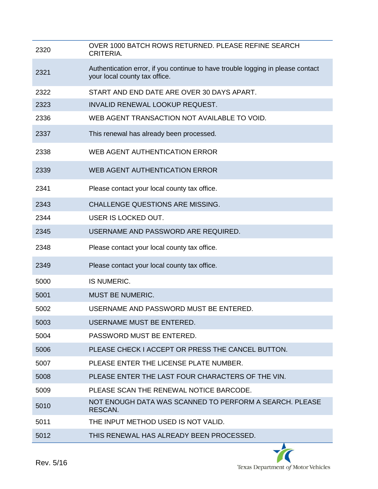| 2320 | OVER 1000 BATCH ROWS RETURNED. PLEASE REFINE SEARCH<br>CRITERIA.                                                 |
|------|------------------------------------------------------------------------------------------------------------------|
| 2321 | Authentication error, if you continue to have trouble logging in please contact<br>your local county tax office. |
| 2322 | START AND END DATE ARE OVER 30 DAYS APART.                                                                       |
| 2323 | <b>INVALID RENEWAL LOOKUP REQUEST.</b>                                                                           |
| 2336 | WEB AGENT TRANSACTION NOT AVAILABLE TO VOID.                                                                     |
| 2337 | This renewal has already been processed.                                                                         |
| 2338 | WEB AGENT AUTHENTICATION ERROR                                                                                   |
| 2339 | WEB AGENT AUTHENTICATION ERROR                                                                                   |
| 2341 | Please contact your local county tax office.                                                                     |
| 2343 | <b>CHALLENGE QUESTIONS ARE MISSING.</b>                                                                          |
| 2344 | USER IS LOCKED OUT.                                                                                              |
| 2345 | USERNAME AND PASSWORD ARE REQUIRED.                                                                              |
| 2348 | Please contact your local county tax office.                                                                     |
| 2349 | Please contact your local county tax office.                                                                     |
| 5000 | IS NUMERIC.                                                                                                      |
| 5001 | <b>MUST BE NUMERIC.</b>                                                                                          |
| 5002 | USERNAME AND PASSWORD MUST BE ENTERED.                                                                           |
| 5003 | USERNAME MUST BE ENTERED.                                                                                        |
| 5004 | PASSWORD MUST BE ENTERED.                                                                                        |
| 5006 | PLEASE CHECK I ACCEPT OR PRESS THE CANCEL BUTTON.                                                                |
| 5007 | PLEASE ENTER THE LICENSE PLATE NUMBER.                                                                           |
| 5008 | PLEASE ENTER THE LAST FOUR CHARACTERS OF THE VIN.                                                                |
| 5009 | PLEASE SCAN THE RENEWAL NOTICE BARCODE.                                                                          |
| 5010 | NOT ENOUGH DATA WAS SCANNED TO PERFORM A SEARCH. PLEASE<br>RESCAN.                                               |
| 5011 | THE INPUT METHOD USED IS NOT VALID.                                                                              |
| 5012 | THIS RENEWAL HAS ALREADY BEEN PROCESSED.                                                                         |